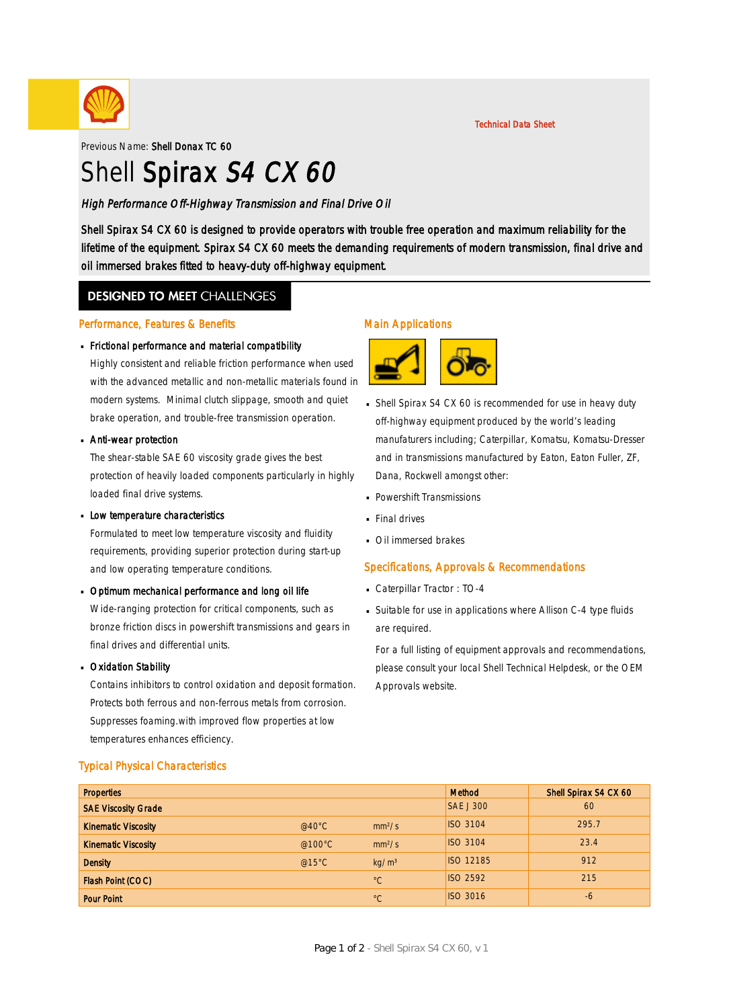

Previous Name: Shell Donax TC 60

# Shell Spirax S4 CX 60

High Performance Off-Highway Transmission and Final Drive Oil

Shell Spirax S4 CX 60 is designed to provide operators with trouble free operation and maximum reliability for the lifetime of the equipment. Spirax S4 CX 60 meets the demanding requirements of modern transmission, final drive and oil immersed brakes fitted to heavy-duty off-highway equipment.

### **DESIGNED TO MEET CHALLENGES**

### Performance, Features & Benefits

# Frictional performance and material compatibility ·

Highly consistent and reliable friction performance when used with the advanced metallic and non-metallic materials found in modern systems. Minimal clutch slippage, smooth and quiet brake operation, and trouble-free transmission operation.

# **Anti-wear protection**

The shear-stable SAE 60 viscosity grade gives the best protection of heavily loaded components particularly in highly loaded final drive systems.

# **Low temperature characteristics**

Formulated to meet low temperature viscosity and fluidity requirements, providing superior protection during start-up and low operating temperature conditions.

# Dptimum mechanical performance and long oil life

Wide-ranging protection for critical components, such as bronze friction discs in powershift transmissions and gears in final drives and differential units.

# **Dxidation Stability**

Contains inhibitors to control oxidation and deposit formation. Protects both ferrous and non-ferrous metals from corrosion. Suppresses foaming.with improved flow properties at low temperatures enhances efficiency.

### Typical Physical Characteristics

### Main Applications



- Shell Spirax S4 CX 60 is recommended for use in heavy duty · off-highway equipment produced by the world's leading manufaturers including; Caterpillar, Komatsu, Komatsu-Dresser and in transmissions manufactured by Eaton, Eaton Fuller, ZF, Dana, Rockwell amongst other:
- Powershift Transmissions ·
- **Final drives**
- **· Oil immersed brakes**

### Specifications, Approvals & Recommendations

- Caterpillar Tractor : TO-4 ·
- Suitable for use in applications where Allison C-4 type fluids · are required.

For a full listing of equipment approvals and recommendations, please consult your local Shell Technical Helpdesk, or the OEM Approvals website.

| <b>Properties</b>          |                  |                    | Method           | Shell Spirax S4 CX 60 |
|----------------------------|------------------|--------------------|------------------|-----------------------|
| <b>SAE Viscosity Grade</b> |                  |                    | <b>SAE J 300</b> | 60                    |
| <b>Kinematic Viscosity</b> | @40 $^{\circ}$ C | mm <sup>2</sup> /s | <b>ISO 3104</b>  | 295.7                 |
| <b>Kinematic Viscosity</b> | @100 $\degree$ C | mm <sup>2</sup> /s | <b>ISO 3104</b>  | 23.4                  |
| <b>Density</b>             | @15°C            | kg/m <sup>3</sup>  | <b>ISO 12185</b> | 912                   |
| Flash Point (COC)          |                  | $^{\circ}C$        | <b>ISO 2592</b>  | 215                   |
| <b>Pour Point</b>          |                  | $^{\circ}C$        | <b>ISO 3016</b>  | -6                    |

Technical Data Sheet